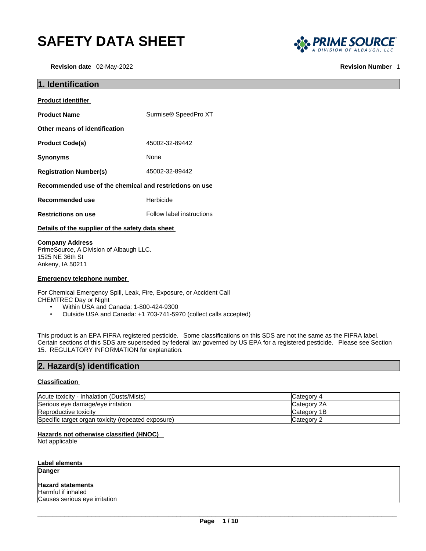# **SAFETY DATA SHEET**

**Revision date** 02-May-2022 **Revision Number** 1



| 1. Identification                                                                    |                           |  |
|--------------------------------------------------------------------------------------|---------------------------|--|
| <b>Product identifier</b>                                                            |                           |  |
| <b>Product Name</b>                                                                  | Surmise® SpeedPro XT      |  |
| Other means of identification                                                        |                           |  |
| <b>Product Code(s)</b>                                                               | 45002-32-89442            |  |
| Synonyms                                                                             | None                      |  |
| <b>Registration Number(s)</b>                                                        | 45002-32-89442            |  |
| Recommended use of the chemical and restrictions on use                              |                           |  |
| Recommended use                                                                      | Herbicide                 |  |
| <b>Restrictions on use</b>                                                           | Follow label instructions |  |
| Details of the supplier of the safety data sheet                                     |                           |  |
| <b>Company Address</b><br>PrimeSource, A Division of Albaugh LLC.<br>1525 NE 36th St |                           |  |

**Emergency telephone number**

Ankeny, IA 50211

For Chemical Emergency Spill, Leak, Fire, Exposure, or Accident Call CHEMTREC Day or Night

- Within USA and Canada: 1-800-424-9300
- Outside USA and Canada: +1 703-741-5970 (collect calls accepted)

This product is an EPA FIFRA registered pesticide. Some classifications on this SDS are not the same as the FIFRA label. Certain sections of this SDS are superseded by federal law governed by US EPA for a registered pesticide. Please see Section 15. REGULATORY INFORMATION for explanation.

# **2. Hazard(s) identification**

#### **Classification**

| Acute toxicity - Inhalation (Dusts/Mists)          | Category 4          |
|----------------------------------------------------|---------------------|
| Serious eye damage/eye irritation                  | <b>ICategory 2A</b> |
| Reproductive toxicity                              | <b>ICategory 1B</b> |
| Specific target organ toxicity (repeated exposure) | Category 2          |

#### **Hazards not otherwise classified (HNOC)**

Not applicable

#### **Label elements**

**Danger** 

# **Hazard statements**

Harmful if inhaled Causes serious eye irritation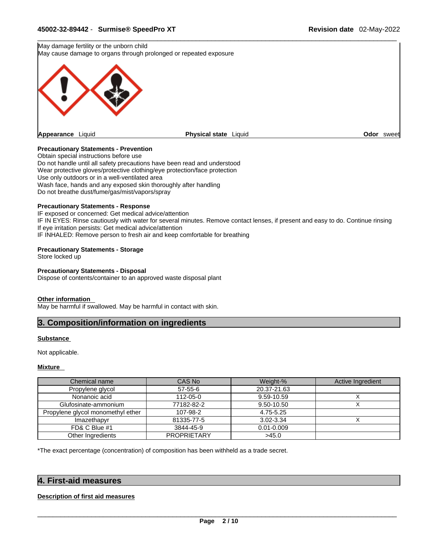May damage fertility or the unborn child May cause damage to organs through prolonged or repeated exposure



#### **Precautionary Statements - Prevention**

Obtain special instructions before use Do not handle until all safety precautions have been read and understood Wear protective gloves/protective clothing/eye protection/face protection Use only outdoors or in a well-ventilated area Wash face, hands and any exposed skin thoroughly after handling Do not breathe dust/fume/gas/mist/vapors/spray

#### **Precautionary Statements - Response**

IF exposed or concerned: Get medical advice/attention IF IN EYES: Rinse cautiously with water for several minutes. Remove contact lenses, if present and easy to do. Continue rinsing If eye irritation persists: Get medical advice/attention IF INHALED: Remove person to fresh air and keep comfortable for breathing

#### **Precautionary Statements - Storage**

Store locked up

#### **Precautionary Statements - Disposal**

Dispose of contents/container to an approved waste disposal plant

#### **Other information**

May be harmful if swallowed. May be harmful in contact with skin.

#### **3. Composition/information on ingredients**

#### **Substance**

Not applicable.

#### **Mixture**

| Chemical name                     | CAS No             | Weight-%       | Active Ingredient |
|-----------------------------------|--------------------|----------------|-------------------|
| Propylene glycol                  | 57-55-6            | 20.37-21.63    |                   |
| Nonanoic acid                     | 112-05-0           | 9.59-10.59     |                   |
| Glufosinate-ammonium              | 77182-82-2         | 9.50-10.50     |                   |
| Propylene glycol monomethyl ether | 107-98-2           | 4.75-5.25      |                   |
| Imazethapyr                       | 81335-77-5         | 3.02-3.34      |                   |
| FD& C Blue #1                     | 3844-45-9          | $0.01 - 0.009$ |                   |
| Other Ingredients                 | <b>PROPRIETARY</b> | >45.0          |                   |

\*The exact percentage (concentration) of composition has been withheld as a trade secret.

#### **4. First-aid measures**

#### **Description of first aid measures**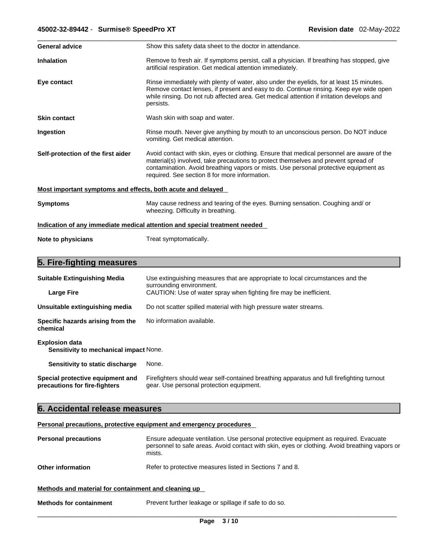| <b>General advice</b>                                       | Show this safety data sheet to the doctor in attendance.                                                                                                                                                                                                                                                                 |
|-------------------------------------------------------------|--------------------------------------------------------------------------------------------------------------------------------------------------------------------------------------------------------------------------------------------------------------------------------------------------------------------------|
| <b>Inhalation</b>                                           | Remove to fresh air. If symptoms persist, call a physician. If breathing has stopped, give<br>artificial respiration. Get medical attention immediately.                                                                                                                                                                 |
| Eye contact                                                 | Rinse immediately with plenty of water, also under the eyelids, for at least 15 minutes.<br>Remove contact lenses, if present and easy to do. Continue rinsing. Keep eye wide open<br>while rinsing. Do not rub affected area. Get medical attention if irritation develops and<br>persists.                             |
| <b>Skin contact</b>                                         | Wash skin with soap and water.                                                                                                                                                                                                                                                                                           |
| Ingestion                                                   | Rinse mouth. Never give anything by mouth to an unconscious person. Do NOT induce<br>vomiting. Get medical attention.                                                                                                                                                                                                    |
| Self-protection of the first aider                          | Avoid contact with skin, eyes or clothing. Ensure that medical personnel are aware of the<br>material(s) involved, take precautions to protect themselves and prevent spread of<br>contamination. Avoid breathing vapors or mists. Use personal protective equipment as<br>required. See section 8 for more information. |
| Most important symptoms and effects, both acute and delayed |                                                                                                                                                                                                                                                                                                                          |
| <b>Symptoms</b>                                             | May cause redness and tearing of the eyes. Burning sensation. Coughing and/ or<br>wheezing. Difficulty in breathing.                                                                                                                                                                                                     |
|                                                             | Indication of any immediate medical attention and special treatment needed                                                                                                                                                                                                                                               |
| Note to physicians                                          | Treat symptomatically.                                                                                                                                                                                                                                                                                                   |

# **5. Fire-fighting measures**

| <b>Suitable Extinguishing Media</b>                                    | Use extinguishing measures that are appropriate to local circumstances and the<br>surrounding environment.                            |  |  |  |  |  |  |  |  |
|------------------------------------------------------------------------|---------------------------------------------------------------------------------------------------------------------------------------|--|--|--|--|--|--|--|--|
| <b>Large Fire</b>                                                      | CAUTION: Use of water spray when fighting fire may be inefficient.                                                                    |  |  |  |  |  |  |  |  |
| Unsuitable extinguishing media                                         | Do not scatter spilled material with high pressure water streams.                                                                     |  |  |  |  |  |  |  |  |
| Specific hazards arising from the<br>chemical                          | No information available.                                                                                                             |  |  |  |  |  |  |  |  |
| <b>Explosion data</b><br><b>Sensitivity to mechanical impact None.</b> |                                                                                                                                       |  |  |  |  |  |  |  |  |
| Sensitivity to static discharge                                        | None.                                                                                                                                 |  |  |  |  |  |  |  |  |
| Special protective equipment and<br>precautions for fire-fighters      | Firefighters should wear self-contained breathing apparatus and full firefighting turnout<br>gear. Use personal protection equipment. |  |  |  |  |  |  |  |  |

# **6. Accidental release measures**

**Personal precautions, protective equipment and emergency procedures**

| <b>Personal precautions</b>                          | Ensure adequate ventilation. Use personal protective equipment as required. Evacuate<br>personnel to safe areas. Avoid contact with skin, eyes or clothing. Avoid breathing vapors or<br>mists. |
|------------------------------------------------------|-------------------------------------------------------------------------------------------------------------------------------------------------------------------------------------------------|
| <b>Other information</b>                             | Refer to protective measures listed in Sections 7 and 8.                                                                                                                                        |
| Methods and material for containment and cleaning up |                                                                                                                                                                                                 |
| $\blacksquare$                                       | Dasses at finite subsets and so so the as if sufficient developer                                                                                                                               |

**Methods for containment** Prevent further leakage or spillage if safe to do so.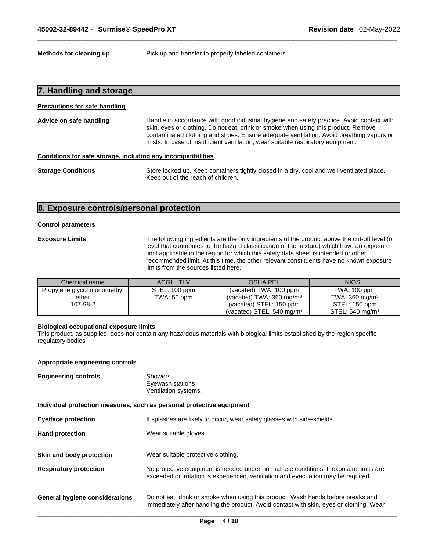**Methods for cleaning up** Pick up and transfer to properly labeled containers.

| 7. Handling and storage              |                                                                                                                                                                                                                                                                                                                                                                                                                                                                                                                             |  |
|--------------------------------------|-----------------------------------------------------------------------------------------------------------------------------------------------------------------------------------------------------------------------------------------------------------------------------------------------------------------------------------------------------------------------------------------------------------------------------------------------------------------------------------------------------------------------------|--|
| <b>Precautions for safe handling</b> |                                                                                                                                                                                                                                                                                                                                                                                                                                                                                                                             |  |
| Advice on safe handling              | Handle in accordance with good industrial hygiene and safety practice. Avoid contact with<br>skin, eyes or clothing. Do not eat, drink or smoke when using this product. Remove<br>contaminated clothing and shoes. Ensure adequate ventilation. Avoid breathing vapors or<br>mists. In case of insufficient ventilation, wear suitable respiratory equipment.<br>Conditions for safe storage, including any incompatibilities<br>Store locked up. Keep containers tightly closed in a dry, cool and well-ventilated place. |  |
|                                      |                                                                                                                                                                                                                                                                                                                                                                                                                                                                                                                             |  |
| <b>Storage Conditions</b>            | Keep out of the reach of children.                                                                                                                                                                                                                                                                                                                                                                                                                                                                                          |  |

# **8. Exposure controls/personal protection**

#### **Control parameters**

**Exposure Limits** The following ingredients are the only ingredients of the product above the cut-off level (or level that contributes to the hazard classification of the mixture) which have an exposure limit applicable in the region for which this safety data sheet is intended or other recommended limit. At this time, the other relevant constituents have no known exposure

|                             | limits from the sources listed here. |                                      |                            |
|-----------------------------|--------------------------------------|--------------------------------------|----------------------------|
| Chemical name               | <b>ACGIH TLV</b>                     | OSHA PEL                             | <b>NIOSH</b>               |
| Propylene glycol monomethyl | STEL: 100 ppm                        | (vacated) TWA: 100 ppm               | TWA: 100 ppm               |
| ether                       | TWA: 50 ppm                          | (vacated) TWA: 360 mg/m $3$          | TWA: $360 \text{ mg/m}^3$  |
| 107-98-2                    |                                      | (vacated) STEL: 150 ppm              | STEL: 150 ppm              |
|                             |                                      | (vacated) STEL: $540 \text{ mg/m}^3$ | STEL: $540 \text{ mg/m}^3$ |

#### **Biological occupational exposure limits**

This product, as supplied, does not contain any hazardous materials with biological limits established by the region specific regulatory bodies

#### **Appropriate engineering controls**

| <b>Engineering controls</b> | Showers              |  |
|-----------------------------|----------------------|--|
|                             | Eyewash stations     |  |
|                             | Ventilation systems. |  |

**Individual protection measures, such as personal protective equipment**

| <b>Eye/face protection</b>            | If splashes are likely to occur, wear safety glasses with side-shields.                                                                                                     |
|---------------------------------------|-----------------------------------------------------------------------------------------------------------------------------------------------------------------------------|
| <b>Hand protection</b>                | Wear suitable gloves.                                                                                                                                                       |
| Skin and body protection              | Wear suitable protective clothing.                                                                                                                                          |
| <b>Respiratory protection</b>         | No protective equipment is needed under normal use conditions. If exposure limits are<br>exceeded or irritation is experienced, ventilation and evacuation may be required. |
| <b>General hygiene considerations</b> | Do not eat, drink or smoke when using this product. Wash hands before breaks and<br>immediately after handling the product. Avoid contact with skin, eyes or clothing. Wear |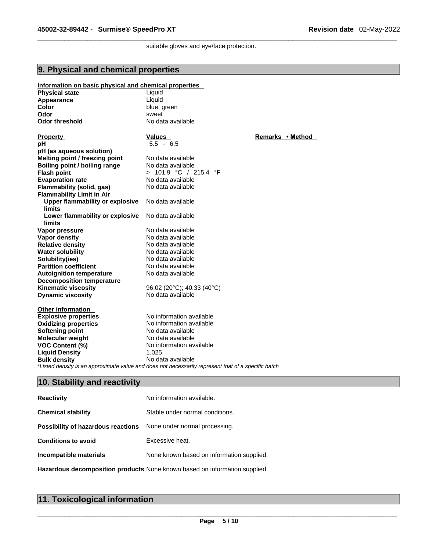suitable gloves and eye/face protection.

### **9. Physical and chemical properties**

#### **Information on basic physical and chemical properties Physical state Contract Expansion Contract Contract Contract Contract Contract Contract Contract Contract Contract Contract Contract Contract Contract Contract Contract Contract Contract Contract Contract Contract Contr Appearance**<br>Color **Color Color Color Color Color Color Color Color Color Color Color Color Color Color Color Color Color Color Color Color Color Color Color Color Color Color Color Color Odor** sweet **Odor threshold** No data available **Property CONSIDERENT VALUES PROPERTY Remarks •** Method **pH** 5.5 - 6.5 **pH (as aqueous solution) Melting point / freezing point Boiling point / boiling range** No data available **Flash point**  $> 101.9 °C / 215.4 °F$ **Evaporation rate** No data available **Flammability (solid, gas)** No data available **Flammability Limit in Air Upper flammability or explosive limits** No data available **Lower flammability or explosive limits** No data available **Vapor pressure**<br> **Vapor density**<br> **Vapor density**<br> **Vapor density**<br> **No data available Vapor density and Service Control Control No data available<br>
<b>Relative density** Control No data available **Relative density**<br> **Water solubility**<br> **Water solubility**<br> **Water solubility**<br> **No data available Water solubility Solubility(ies)** No data available **Partition coefficient** No data available **Autoignition temperature** No data available **Decomposition temperature**

**Kinematic viscosity** 96.02 (20°C); 40.33 (40°C)<br> **Dynamic viscosity** 96.02 (20°C); 40.33 (40°C)

**Other information Explosive properties**<br> **Oxidizing properties**<br>
No information available **Oxidizing properties Softening point** No data available **Molecular weight** No data available **VOC Content (%)** No information available **Liquid Density** 1.025 **Bulk density No data available** *\*Listed density is an approximate value and does not necessarily represent that of a specific batch* 

### **10. Stability and reactivity**

**Dynamic viscosity** 

| <b>Reactivity</b>                  | No information available.                                                  |
|------------------------------------|----------------------------------------------------------------------------|
| <b>Chemical stability</b>          | Stable under normal conditions.                                            |
| Possibility of hazardous reactions | None under normal processing.                                              |
| <b>Conditions to avoid</b>         | Excessive heat.                                                            |
| Incompatible materials             | None known based on information supplied.                                  |
|                                    | Hazardous decomposition products None known based on information supplied. |

|  | 11. Toxicological information |  |
|--|-------------------------------|--|
|--|-------------------------------|--|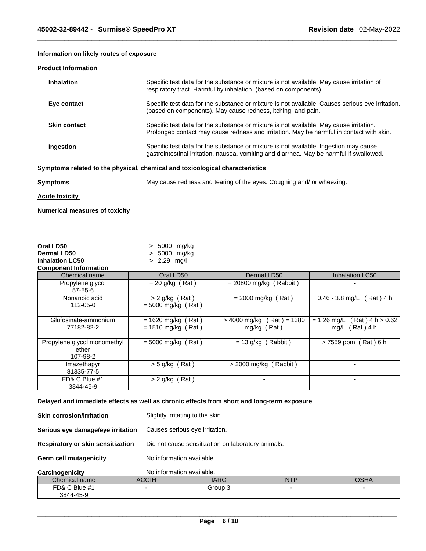# **Information on likely routes of exposure**

#### **Product Information**

| <b>Inhalation</b>   | Specific test data for the substance or mixture is not available. May cause irritation of<br>respiratory tract. Harmful by inhalation. (based on components).                       |
|---------------------|-------------------------------------------------------------------------------------------------------------------------------------------------------------------------------------|
| Eye contact         | Specific test data for the substance or mixture is not available. Causes serious eve irritation.<br>(based on components). May cause redness, itching, and pain.                    |
| <b>Skin contact</b> | Specific test data for the substance or mixture is not available. May cause irritation.<br>Prolonged contact may cause redness and irritation. May be harmful in contact with skin. |
| Ingestion           | Specific test data for the substance or mixture is not available. Ingestion may cause<br>gastrointestinal irritation, nausea, vomiting and diarrhea. May be harmful if swallowed.   |
|                     | Symptoms related to the physical, chemical and toxicological characteristics                                                                                                        |
| P                   | May cause redness and tearing of the over Coughing and/ or whoozing                                                                                                                 |

**Symptoms** May cause redness and tearing of the eyes. Coughing and/ or wheezing.

**Acute toxicity**

**Numerical measures of toxicity**

| Oral LD50<br>Dermal LD50<br><b>Inhalation LC50</b> | > 5000 mg/kg<br>> 5000 mg/kg<br>$> 2.29$ mg/l |                                                 |                                                         |
|----------------------------------------------------|-----------------------------------------------|-------------------------------------------------|---------------------------------------------------------|
| <b>Component Information</b>                       |                                               |                                                 |                                                         |
| Chemical name                                      | Oral LD50                                     | Dermal LD50                                     | Inhalation LC50                                         |
| Propylene glycol<br>$57 - 55 - 6$                  | $= 20$ g/kg (Rat)                             | $= 20800$ mg/kg (Rabbit)                        |                                                         |
| Nonanoic acid<br>112-05-0                          | $> 2$ g/kg (Rat)<br>$= 5000$ mg/kg (Rat)      | $= 2000$ mg/kg (Rat)                            | Rat ) 4 h<br>$0.46 - 3.8$ mg/L                          |
| Glufosinate-ammonium<br>77182-82-2                 | $= 1620$ mg/kg (Rat)<br>$= 1510$ mg/kg (Rat)  | $(Rat) = 1380$<br>> 4000 mg/kg (<br>mg/kg (Rat) | $Rat$ ) 4 h > 0.62<br>$= 1.26$ mg/L<br>$mg/L$ (Rat) 4 h |
| Propylene glycol monomethyl<br>ether<br>107-98-2   | $= 5000$ mg/kg (Rat)                          | $= 13$ g/kg (Rabbit)                            | > 7559 ppm (Rat) 6 h                                    |
| Imazethapyr<br>81335-77-5                          | $>$ 5 g/kg (Rat)                              | $>$ 2000 mg/kg (Rabbit)                         |                                                         |
| FD& C Blue #1<br>3844-45-9                         | $> 2$ g/kg (Rat)                              |                                                 |                                                         |

**Delayed and immediate effects as well as chronic effects from short and long-term exposure**

| <b>Skin corrosion/irritation</b>         | Slightly irritating to the skin.                   |
|------------------------------------------|----------------------------------------------------|
| Serious eye damage/eye irritation        | Causes serious eye irritation.                     |
| <b>Respiratory or skin sensitization</b> | Did not cause sensitization on laboratory animals. |
| <b>Germ cell mutagenicity</b>            | No information available.                          |
| Carcinogenicity                          | No information available.                          |

| <b>VAIVIIIVIGHIVILY</b> | <u>IVO INTOINIQUON AVAIIQUIC.</u> |         |     |      |
|-------------------------|-----------------------------------|---------|-----|------|
| Chemical name           | ACGIH                             | IARC    | NTP | OSHA |
| FD& C Blue #1           |                                   | Group 3 |     |      |
| 3844-45-9               |                                   |         |     |      |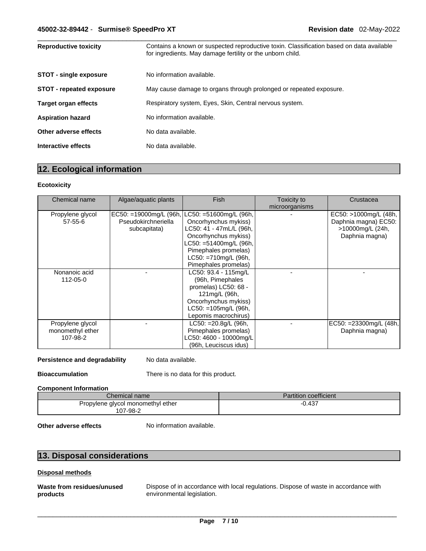| <b>Reproductive toxicity</b>    | Contains a known or suspected reproductive toxin. Classification based on data available<br>for ingredients. May damage fertility or the unborn child. |
|---------------------------------|--------------------------------------------------------------------------------------------------------------------------------------------------------|
| <b>STOT - single exposure</b>   | No information available.                                                                                                                              |
| <b>STOT - repeated exposure</b> | May cause damage to organs through prolonged or repeated exposure.                                                                                     |
| <b>Target organ effects</b>     | Respiratory system, Eyes, Skin, Central nervous system.                                                                                                |
| <b>Aspiration hazard</b>        | No information available.                                                                                                                              |
| Other adverse effects           | No data available.                                                                                                                                     |
| Interactive effects             | No data available.                                                                                                                                     |

# **12. Ecological information**

#### **Ecotoxicity**

| Chemical name    | Algae/aquatic plants      | <b>Fish</b>                | Toxicity to<br>microorganisms | Crustacea              |
|------------------|---------------------------|----------------------------|-------------------------------|------------------------|
| Propylene glycol | $EC50: = 19000mg/L$ (96h, | $LC50: = 51600$ mg/L (96h, |                               | EC50: >1000mg/L (48h,  |
| 57-55-6          | Pseudokirchneriella       | Oncorhynchus mykiss)       |                               | Daphnia magna) EC50:   |
|                  | subcapitata)              | LC50: 41 - 47mL/L (96h,    |                               | >10000mg/L (24h,       |
|                  |                           | Oncorhynchus mykiss)       |                               | Daphnia magna)         |
|                  |                           | LC50: =51400mg/L (96h,     |                               |                        |
|                  |                           | Pimephales promelas)       |                               |                        |
|                  |                           | LC50: =710mg/L (96h,       |                               |                        |
|                  |                           | Pimephales promelas)       |                               |                        |
| Nonanoic acid    |                           | LC50: 93.4 - 115mg/L       |                               |                        |
| 112-05-0         |                           | (96h, Pimephales           |                               |                        |
|                  |                           | promelas) LC50: 68 -       |                               |                        |
|                  |                           | 121mg/L (96h,              |                               |                        |
|                  |                           | Oncorhynchus mykiss)       |                               |                        |
|                  |                           | $LC50: = 105mg/L$ (96h,    |                               |                        |
|                  |                           | Lepomis macrochirus)       |                               |                        |
| Propylene glycol |                           | LC50: = 20.8g/L (96h,      |                               | EC50: =23300mg/L (48h, |
| monomethyl ether |                           | Pimephales promelas)       |                               | Daphnia magna)         |
| 107-98-2         |                           | LC50: 4600 - 10000mg/L     |                               |                        |
|                  |                           | (96h, Leuciscus idus)      |                               |                        |

#### **Persistence and degradability** No data available.

**Bioaccumulation** There is no data for this product.

#### **Component Information**

| Chemical name                     | <b>Partition coefficient</b> |
|-----------------------------------|------------------------------|
| Propylene glycol monomethyl ether | $-0.437$                     |
| 107-98-2                          |                              |

**Other adverse effects** No information available.

# **13. Disposal considerations**

#### **Disposal methods**

**Waste from residues/unused products** 

Dispose of in accordance with local regulations. Dispose of waste in accordance with environmental legislation.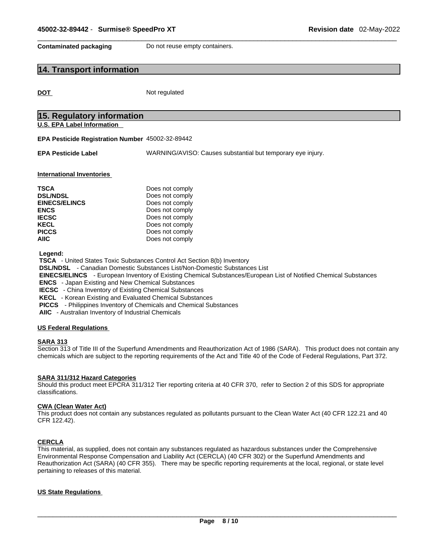**Contaminated packaging** Do not reuse empty containers.

# **14. Transport information**

**DOT** Not regulated

| 15. Regulatory information<br><b>U.S. EPA Label Information</b><br>EPA Pesticide Registration Number 45002-32-89442<br>WARNING/AVISO: Causes substantial but temporary eye injury.<br><b>EPA Pesticide Label</b><br><b>International Inventories</b><br><b>TSCA</b><br>Does not comply<br><b>DSL/NDSL</b><br>Does not comply<br>Does not comply<br><b>EINECS/ELINCS</b><br><b>ENCS</b><br>Does not comply<br><b>IECSC</b><br>Does not comply<br><b>KECL</b><br>Does not comply<br><b>PICCS</b><br>Does not comply                                                                                                                                                        |
|--------------------------------------------------------------------------------------------------------------------------------------------------------------------------------------------------------------------------------------------------------------------------------------------------------------------------------------------------------------------------------------------------------------------------------------------------------------------------------------------------------------------------------------------------------------------------------------------------------------------------------------------------------------------------|
|                                                                                                                                                                                                                                                                                                                                                                                                                                                                                                                                                                                                                                                                          |
|                                                                                                                                                                                                                                                                                                                                                                                                                                                                                                                                                                                                                                                                          |
|                                                                                                                                                                                                                                                                                                                                                                                                                                                                                                                                                                                                                                                                          |
|                                                                                                                                                                                                                                                                                                                                                                                                                                                                                                                                                                                                                                                                          |
| <b>AIIC</b><br>Does not comply                                                                                                                                                                                                                                                                                                                                                                                                                                                                                                                                                                                                                                           |
| Legend:<br><b>TSCA</b> - United States Toxic Substances Control Act Section 8(b) Inventory<br><b>DSL/NDSL</b> - Canadian Domestic Substances List/Non-Domestic Substances List<br><b>EINECS/ELINCS</b> - European Inventory of Existing Chemical Substances/European List of Notified Chemical Substances<br><b>ENCS</b> - Japan Existing and New Chemical Substances<br><b>IECSC</b> - China Inventory of Existing Chemical Substances<br>KECL - Korean Existing and Evaluated Chemical Substances<br><b>PICCS</b> - Philippines Inventory of Chemicals and Chemical Substances<br>AIIC - Australian Inventory of Industrial Chemicals<br><b>US Federal Regulations</b> |

#### **SARA 313**

Section 313 of Title III of the Superfund Amendments and Reauthorization Act of 1986 (SARA). This product does not contain any chemicals which are subject to the reporting requirements of the Act and Title 40 of the Code of Federal Regulations, Part 372.

#### **SARA 311/312 Hazard Categories**

Should this product meet EPCRA 311/312 Tier reporting criteria at 40 CFR 370, refer to Section 2 of this SDS for appropriate classifications.

#### **CWA (Clean WaterAct)**

This product does not contain any substances regulated as pollutants pursuant to the Clean Water Act (40 CFR 122.21 and 40 CFR 122.42).

#### **CERCLA**

This material, as supplied, does not contain any substances regulated as hazardous substances under the Comprehensive Environmental Response Compensation and Liability Act (CERCLA) (40 CFR 302) or the Superfund Amendments and Reauthorization Act (SARA) (40 CFR 355). There may be specific reporting requirements at the local, regional, or state level pertaining to releases of this material.

#### **US State Regulations**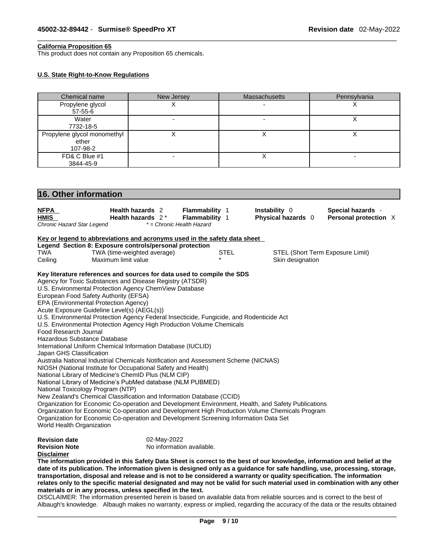#### **California Proposition 65**

This product does not contain any Proposition 65 chemicals.

#### **U.S. State Right-to-Know Regulations**

| Chemical name                                            | New Jersey                                                                                                                                                        | Massachusetts                       | Pennsylvania                               |
|----------------------------------------------------------|-------------------------------------------------------------------------------------------------------------------------------------------------------------------|-------------------------------------|--------------------------------------------|
| Propylene glycol<br>57-55-6                              | X                                                                                                                                                                 |                                     | х                                          |
| Water                                                    |                                                                                                                                                                   |                                     | $\overline{\mathsf{x}}$                    |
| 7732-18-5<br>Propylene glycol monomethyl                 | X                                                                                                                                                                 | X                                   | $\boldsymbol{\mathsf{X}}$                  |
| ether                                                    |                                                                                                                                                                   |                                     |                                            |
| 107-98-2                                                 |                                                                                                                                                                   |                                     |                                            |
| FD& C Blue #1<br>3844-45-9                               |                                                                                                                                                                   | X                                   |                                            |
|                                                          |                                                                                                                                                                   |                                     |                                            |
| 16. Other information                                    |                                                                                                                                                                   |                                     |                                            |
|                                                          |                                                                                                                                                                   |                                     |                                            |
| <u>NFPA</u><br><b>HMIS</b>                               | Health hazards 2<br>Flammability 1<br>Health hazards 2*<br>Flammability 1                                                                                         | Instability 0<br>Physical hazards 0 | Special hazards -<br>Personal protection X |
| Chronic Hazard Star Legend                               | * = Chronic Health Hazard                                                                                                                                         |                                     |                                            |
|                                                          | Key or legend to abbreviations and acronyms used in the safety data sheet                                                                                         |                                     |                                            |
|                                                          | Legend Section 8: Exposure controls/personal protection                                                                                                           |                                     |                                            |
| TWA                                                      | TWA (time-weighted average)                                                                                                                                       | <b>STEL</b>                         | STEL (Short Term Exposure Limit)           |
| Maximum limit value<br>Ceiling                           |                                                                                                                                                                   | Skin designation                    |                                            |
|                                                          | Key literature references and sources for data used to compile the SDS                                                                                            |                                     |                                            |
| Agency for Toxic Substances and Disease Registry (ATSDR) |                                                                                                                                                                   |                                     |                                            |
| U.S. Environmental Protection Agency ChemView Database   |                                                                                                                                                                   |                                     |                                            |
| European Food Safety Authority (EFSA)                    |                                                                                                                                                                   |                                     |                                            |
| EPA (Environmental Protection Agency)                    |                                                                                                                                                                   |                                     |                                            |
| Acute Exposure Guideline Level(s) (AEGL(s))              |                                                                                                                                                                   |                                     |                                            |
|                                                          | U.S. Environmental Protection Agency Federal Insecticide, Fungicide, and Rodenticide Act<br>U.S. Environmental Protection Agency High Production Volume Chemicals |                                     |                                            |
| Food Research Journal                                    |                                                                                                                                                                   |                                     |                                            |
| Hazardous Substance Database                             |                                                                                                                                                                   |                                     |                                            |
|                                                          | International Uniform Chemical Information Database (IUCLID)                                                                                                      |                                     |                                            |
| Japan GHS Classification                                 |                                                                                                                                                                   |                                     |                                            |
|                                                          | Australia National Industrial Chemicals Notification and Assessment Scheme (NICNAS)                                                                               |                                     |                                            |
|                                                          | NIOSH (National Institute for Occupational Safety and Health)                                                                                                     |                                     |                                            |
| National Library of Medicine's ChemID Plus (NLM CIP)     |                                                                                                                                                                   |                                     |                                            |
|                                                          | National Library of Medicine's PubMed database (NLM PUBMED)                                                                                                       |                                     |                                            |
| National Toxicology Program (NTP)                        | New Zealand's Chemical Classification and Information Database (CCID)                                                                                             |                                     |                                            |
|                                                          | Organization for Economic Co-operation and Development Environment, Health, and Safety Publications                                                               |                                     |                                            |
|                                                          | Organization for Economic Co-operation and Development High Production Volume Chemicals Program                                                                   |                                     |                                            |
|                                                          | Organization for Economic Co-operation and Development Screening Information Data Set                                                                             |                                     |                                            |
| World Health Organization                                |                                                                                                                                                                   |                                     |                                            |
| <b>Revision date</b>                                     | 02-May-2022                                                                                                                                                       |                                     |                                            |
| <b>Revision Note</b>                                     | No information available.                                                                                                                                         |                                     |                                            |
| <b>Disclaimer</b>                                        |                                                                                                                                                                   |                                     |                                            |
|                                                          |                                                                                                                                                                   |                                     |                                            |

The information provided in this Safety Data Sheet is correct to the best of our knowledge, information and belief at the date of its publication. The information given is designed only as a guidance for safe handling, use, processing, storage, transportation, disposal and release and is not to be considered a warranty or quality specification. The information relates only to the specific material designated and may not be valid for such material used in combination with any other **materials or in any process,unless specified in the text.**

DISCLAIMER: The information presented herein is based on available data from reliable sources and is correct to the best of Albaugh's knowledge. Albaugh makes no warranty, express or implied, regarding the accuracy of the data or the results obtained